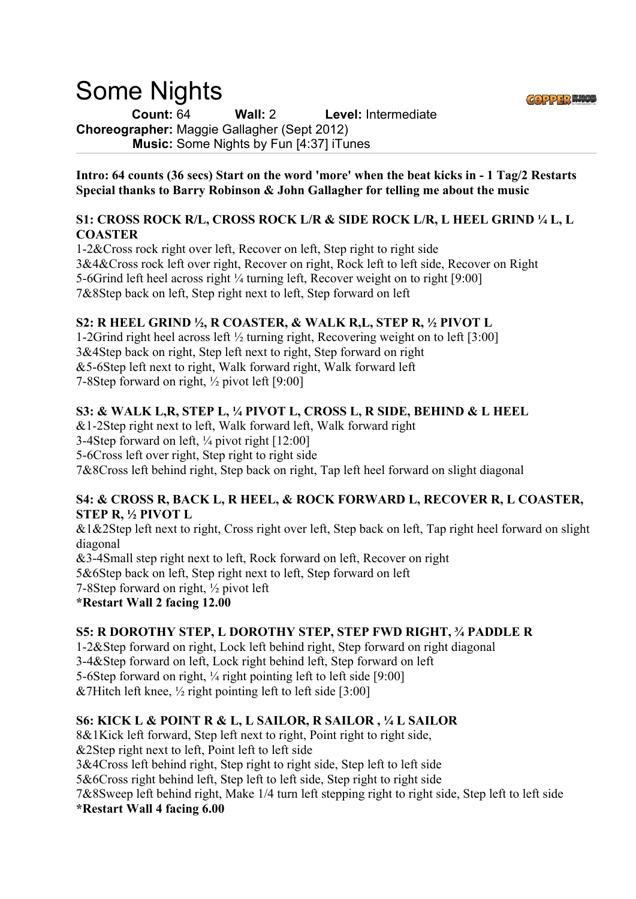# Some Nights

**Count:** 64 **Wall:** 2 **Level:** Intermediate **Choreographer:** Maggie Gallagher (Sept 2012) **Music:** Some Nights by Fun [4:37] iTunes

**Intro: 64 counts (36 secs) Start on the word 'more' when the beat kicks in - 1 Tag/2 Restarts Special thanks to Barry Robinson & John Gallagher for telling me about the music** 

### **S1: CROSS ROCK R/L, CROSS ROCK L/R & SIDE ROCK L/R, L HEEL GRIND ¼ L, L COASTER**

1-2&Cross rock right over left, Recover on left, Step right to right side 3&4&Cross rock left over right, Recover on right, Rock left to left side, Recover on Right 5-6Grind left heel across right ¼ turning left, Recover weight on to right [9:00] 7&8Step back on left, Step right next to left, Step forward on left

## **S2: R HEEL GRIND ½, R COASTER, & WALK R,L, STEP R, ½ PIVOT L**

1-2Grind right heel across left ½ turning right, Recovering weight on to left [3:00] 3&4Step back on right, Step left next to right, Step forward on right &5-6Step left next to right, Walk forward right, Walk forward left 7-8Step forward on right, ½ pivot left [9:00]

## **S3: & WALK L,R, STEP L, ¼ PIVOT L, CROSS L, R SIDE, BEHIND & L HEEL**

&1-2Step right next to left, Walk forward left, Walk forward right

3-4Step forward on left, ¼ pivot right [12:00]

5-6Cross left over right, Step right to right side

7&8Cross left behind right, Step back on right, Tap left heel forward on slight diagonal

#### **S4: & CROSS R, BACK L, R HEEL, & ROCK FORWARD L, RECOVER R, L COASTER, STEP R, ½ PIVOT L**

&1&2Step left next to right, Cross right over left, Step back on left, Tap right heel forward on slight diagonal

&3-4Small step right next to left, Rock forward on left, Recover on right

5&6Step back on left, Step right next to left, Step forward on left

7-8Step forward on right, ½ pivot left

**\*Restart Wall 2 facing 12.00**

## **S5: R DOROTHY STEP, L DOROTHY STEP, STEP FWD RIGHT, ¾ PADDLE R**

1-2&Step forward on right, Lock left behind right, Step forward on right diagonal

3-4&Step forward on left, Lock right behind left, Step forward on left

5-6Step forward on right, ¼ right pointing left to left side [9:00]

&7Hitch left knee,  $\frac{1}{2}$  right pointing left to left side [3:00]

# **S6: KICK L & POINT R & L, L SAILOR, R SAILOR , ¼ L SAILOR**

8&1Kick left forward, Step left next to right, Point right to right side, &2Step right next to left, Point left to left side 3&4Cross left behind right, Step right to right side, Step left to left side 5&6Cross right behind left, Step left to left side, Step right to right side 7&8Sweep left behind right, Make 1/4 turn left stepping right to right side, Step left to left side **\*Restart Wall 4 facing 6.00**

GOPPER KNO